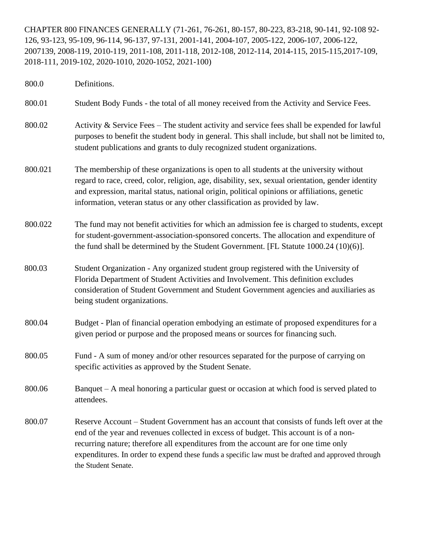CHAPTER 800 FINANCES GENERALLY (71-261, 76-261, 80-157, 80-223, 83-218, 90-141, 92-108 92- 126, 93-123, 95-109, 96-114, 96-137, 97-131, 2001-141, 2004-107, 2005-122, 2006-107, 2006-122, 2007139, 2008-119, 2010-119, 2011-108, 2011-118, 2012-108, 2012-114, 2014-115, 2015-115,2017-109, 2018-111, 2019-102, 2020-1010, 2020-1052, 2021-100)

800.0 Definitions. 800.01 Student Body Funds - the total of all money received from the Activity and Service Fees. 800.02 Activity & Service Fees – The student activity and service fees shall be expended for lawful purposes to benefit the student body in general. This shall include, but shall not be limited to, student publications and grants to duly recognized student organizations. 800.021 The membership of these organizations is open to all students at the university without regard to race, creed, color, religion, age, disability, sex, sexual orientation, gender identity and expression, marital status, national origin, political opinions or affiliations, genetic information, veteran status or any other classification as provided by law. 800.022 The fund may not benefit activities for which an admission fee is charged to students, except for student-government-association-sponsored concerts. The allocation and expenditure of the fund shall be determined by the Student Government. [FL Statute 1000.24 (10)(6)]. 800.03 Student Organization - Any organized student group registered with the University of Florida Department of Student Activities and Involvement. This definition excludes consideration of Student Government and Student Government agencies and auxiliaries as being student organizations. 800.04 Budget - Plan of financial operation embodying an estimate of proposed expenditures for a given period or purpose and the proposed means or sources for financing such. 800.05 Fund - A sum of money and/or other resources separated for the purpose of carrying on specific activities as approved by the Student Senate. 800.06 Banquet – A meal honoring a particular guest or occasion at which food is served plated to attendees. 800.07 Reserve Account – Student Government has an account that consists of funds left over at the end of the year and revenues collected in excess of budget. This account is of a nonrecurring nature; therefore all expenditures from the account are for one time only expenditures. In order to expend these funds a specific law must be drafted and approved through the Student Senate.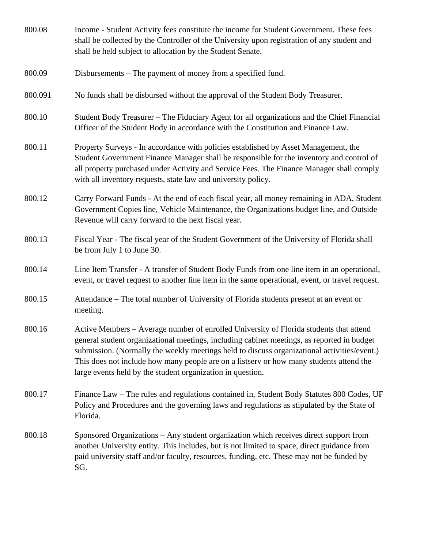| 800.08  | Income - Student Activity fees constitute the income for Student Government. These fees<br>shall be collected by the Controller of the University upon registration of any student and<br>shall be held subject to allocation by the Student Senate.                                                                                                                                                                                         |
|---------|----------------------------------------------------------------------------------------------------------------------------------------------------------------------------------------------------------------------------------------------------------------------------------------------------------------------------------------------------------------------------------------------------------------------------------------------|
| 800.09  | Disbursements – The payment of money from a specified fund.                                                                                                                                                                                                                                                                                                                                                                                  |
| 800.091 | No funds shall be disbursed without the approval of the Student Body Treasurer.                                                                                                                                                                                                                                                                                                                                                              |
| 800.10  | Student Body Treasurer – The Fiduciary Agent for all organizations and the Chief Financial<br>Officer of the Student Body in accordance with the Constitution and Finance Law.                                                                                                                                                                                                                                                               |
| 800.11  | Property Surveys - In accordance with policies established by Asset Management, the<br>Student Government Finance Manager shall be responsible for the inventory and control of<br>all property purchased under Activity and Service Fees. The Finance Manager shall comply<br>with all inventory requests, state law and university policy.                                                                                                 |
| 800.12  | Carry Forward Funds - At the end of each fiscal year, all money remaining in ADA, Student<br>Government Copies line, Vehicle Maintenance, the Organizations budget line, and Outside<br>Revenue will carry forward to the next fiscal year.                                                                                                                                                                                                  |
| 800.13  | Fiscal Year - The fiscal year of the Student Government of the University of Florida shall<br>be from July 1 to June 30.                                                                                                                                                                                                                                                                                                                     |
| 800.14  | Line Item Transfer - A transfer of Student Body Funds from one line item in an operational,<br>event, or travel request to another line item in the same operational, event, or travel request.                                                                                                                                                                                                                                              |
| 800.15  | Attendance – The total number of University of Florida students present at an event or<br>meeting.                                                                                                                                                                                                                                                                                                                                           |
| 800.16  | Active Members - Average number of enrolled University of Florida students that attend<br>general student organizational meetings, including cabinet meetings, as reported in budget<br>submission. (Normally the weekly meetings held to discuss organizational activities/event.)<br>This does not include how many people are on a listserv or how many students attend the<br>large events held by the student organization in question. |
| 800.17  | Finance Law – The rules and regulations contained in, Student Body Statutes 800 Codes, UF<br>Policy and Procedures and the governing laws and regulations as stipulated by the State of<br>Florida.                                                                                                                                                                                                                                          |
| 800.18  | Sponsored Organizations – Any student organization which receives direct support from<br>another University entity. This includes, but is not limited to space, direct guidance from<br>paid university staff and/or faculty, resources, funding, etc. These may not be funded by<br>SG.                                                                                                                                                     |
|         |                                                                                                                                                                                                                                                                                                                                                                                                                                              |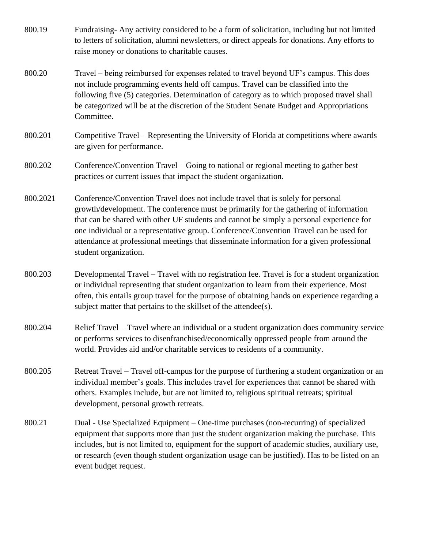- 800.19 Fundraising- Any activity considered to be a form of solicitation, including but not limited to letters of solicitation, alumni newsletters, or direct appeals for donations. Any efforts to raise money or donations to charitable causes.
- 800.20 Travel being reimbursed for expenses related to travel beyond UF's campus. This does not include programming events held off campus. Travel can be classified into the following five (5) categories. Determination of category as to which proposed travel shall be categorized will be at the discretion of the Student Senate Budget and Appropriations Committee.
- 800.201 Competitive Travel Representing the University of Florida at competitions where awards are given for performance.
- 800.202 Conference/Convention Travel Going to national or regional meeting to gather best practices or current issues that impact the student organization.
- 800.2021 Conference/Convention Travel does not include travel that is solely for personal growth/development. The conference must be primarily for the gathering of information that can be shared with other UF students and cannot be simply a personal experience for one individual or a representative group. Conference/Convention Travel can be used for attendance at professional meetings that disseminate information for a given professional student organization.
- 800.203 Developmental Travel Travel with no registration fee. Travel is for a student organization or individual representing that student organization to learn from their experience. Most often, this entails group travel for the purpose of obtaining hands on experience regarding a subject matter that pertains to the skillset of the attendee(s).
- 800.204 Relief Travel Travel where an individual or a student organization does community service or performs services to disenfranchised/economically oppressed people from around the world. Provides aid and/or charitable services to residents of a community.
- 800.205 Retreat Travel Travel off-campus for the purpose of furthering a student organization or an individual member's goals. This includes travel for experiences that cannot be shared with others. Examples include, but are not limited to, religious spiritual retreats; spiritual development, personal growth retreats.
- 800.21 Dual Use Specialized Equipment One-time purchases (non-recurring) of specialized equipment that supports more than just the student organization making the purchase. This includes, but is not limited to, equipment for the support of academic studies, auxiliary use, or research (even though student organization usage can be justified). Has to be listed on an event budget request.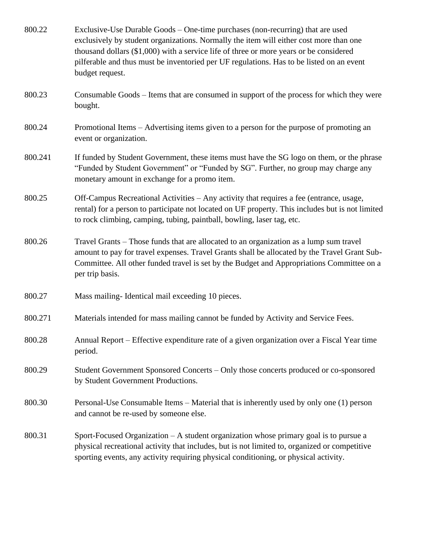| 800.22  | Exclusive-Use Durable Goods – One-time purchases (non-recurring) that are used<br>exclusively by student organizations. Normally the item will either cost more than one<br>thousand dollars (\$1,000) with a service life of three or more years or be considered<br>pilferable and thus must be inventoried per UF regulations. Has to be listed on an event<br>budget request. |
|---------|-----------------------------------------------------------------------------------------------------------------------------------------------------------------------------------------------------------------------------------------------------------------------------------------------------------------------------------------------------------------------------------|
| 800.23  | Consumable Goods – Items that are consumed in support of the process for which they were<br>bought.                                                                                                                                                                                                                                                                               |
| 800.24  | Promotional Items – Advertising items given to a person for the purpose of promoting an<br>event or organization.                                                                                                                                                                                                                                                                 |
| 800.241 | If funded by Student Government, these items must have the SG logo on them, or the phrase<br>"Funded by Student Government" or "Funded by SG". Further, no group may charge any<br>monetary amount in exchange for a promo item.                                                                                                                                                  |
| 800.25  | Off-Campus Recreational Activities – Any activity that requires a fee (entrance, usage,<br>rental) for a person to participate not located on UF property. This includes but is not limited<br>to rock climbing, camping, tubing, paintball, bowling, laser tag, etc.                                                                                                             |
| 800.26  | Travel Grants – Those funds that are allocated to an organization as a lump sum travel<br>amount to pay for travel expenses. Travel Grants shall be allocated by the Travel Grant Sub-<br>Committee. All other funded travel is set by the Budget and Appropriations Committee on a<br>per trip basis.                                                                            |
| 800.27  | Mass mailing-Identical mail exceeding 10 pieces.                                                                                                                                                                                                                                                                                                                                  |
| 800.271 | Materials intended for mass mailing cannot be funded by Activity and Service Fees.                                                                                                                                                                                                                                                                                                |
| 800.28  | Annual Report – Effective expenditure rate of a given organization over a Fiscal Year time<br>period.                                                                                                                                                                                                                                                                             |
| 800.29  | Student Government Sponsored Concerts – Only those concerts produced or co-sponsored<br>by Student Government Productions.                                                                                                                                                                                                                                                        |
| 800.30  | Personal-Use Consumable Items – Material that is inherently used by only one (1) person<br>and cannot be re-used by someone else.                                                                                                                                                                                                                                                 |
| 800.31  | Sport-Focused Organization $-A$ student organization whose primary goal is to pursue a<br>physical recreational activity that includes, but is not limited to, organized or competitive<br>sporting events, any activity requiring physical conditioning, or physical activity.                                                                                                   |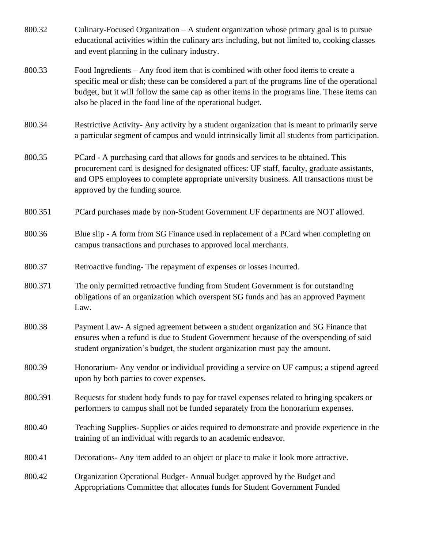| 800.32  | Culinary-Focused Organization $-A$ student organization whose primary goal is to pursue<br>educational activities within the culinary arts including, but not limited to, cooking classes<br>and event planning in the culinary industry.                                                                                                          |
|---------|----------------------------------------------------------------------------------------------------------------------------------------------------------------------------------------------------------------------------------------------------------------------------------------------------------------------------------------------------|
| 800.33  | Food Ingredients – Any food item that is combined with other food items to create a<br>specific meal or dish; these can be considered a part of the programs line of the operational<br>budget, but it will follow the same cap as other items in the programs line. These items can<br>also be placed in the food line of the operational budget. |
| 800.34  | Restrictive Activity- Any activity by a student organization that is meant to primarily serve<br>a particular segment of campus and would intrinsically limit all students from participation.                                                                                                                                                     |
| 800.35  | PCard - A purchasing card that allows for goods and services to be obtained. This<br>procurement card is designed for designated offices: UF staff, faculty, graduate assistants,<br>and OPS employees to complete appropriate university business. All transactions must be<br>approved by the funding source.                                    |
| 800.351 | PCard purchases made by non-Student Government UF departments are NOT allowed.                                                                                                                                                                                                                                                                     |
| 800.36  | Blue slip - A form from SG Finance used in replacement of a PCard when completing on<br>campus transactions and purchases to approved local merchants.                                                                                                                                                                                             |
| 800.37  | Retroactive funding-The repayment of expenses or losses incurred.                                                                                                                                                                                                                                                                                  |
| 800.371 | The only permitted retroactive funding from Student Government is for outstanding<br>obligations of an organization which overspent SG funds and has an approved Payment<br>Law.                                                                                                                                                                   |
| 800.38  | Payment Law- A signed agreement between a student organization and SG Finance that<br>ensures when a refund is due to Student Government because of the overspending of said<br>student organization's budget, the student organization must pay the amount.                                                                                       |
| 800.39  | Honorarium- Any vendor or individual providing a service on UF campus; a stipend agreed<br>upon by both parties to cover expenses.                                                                                                                                                                                                                 |
| 800.391 | Requests for student body funds to pay for travel expenses related to bringing speakers or<br>performers to campus shall not be funded separately from the honorarium expenses.                                                                                                                                                                    |
| 800.40  | Teaching Supplies-Supplies or aides required to demonstrate and provide experience in the<br>training of an individual with regards to an academic endeavor.                                                                                                                                                                                       |
| 800.41  | Decorations-Any item added to an object or place to make it look more attractive.                                                                                                                                                                                                                                                                  |
| 800.42  | Organization Operational Budget-Annual budget approved by the Budget and<br>Appropriations Committee that allocates funds for Student Government Funded                                                                                                                                                                                            |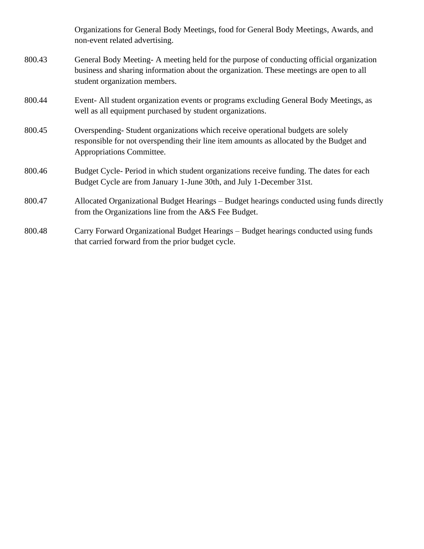Organizations for General Body Meetings, food for General Body Meetings, Awards, and non-event related advertising. 800.43 General Body Meeting- A meeting held for the purpose of conducting official organization

- business and sharing information about the organization. These meetings are open to all student organization members.
- 800.44 Event- All student organization events or programs excluding General Body Meetings, as well as all equipment purchased by student organizations.
- 800.45 Overspending- Student organizations which receive operational budgets are solely responsible for not overspending their line item amounts as allocated by the Budget and Appropriations Committee.
- 800.46 Budget Cycle- Period in which student organizations receive funding. The dates for each Budget Cycle are from January 1-June 30th, and July 1-December 31st.
- 800.47 Allocated Organizational Budget Hearings Budget hearings conducted using funds directly from the Organizations line from the A&S Fee Budget.
- 800.48 Carry Forward Organizational Budget Hearings Budget hearings conducted using funds that carried forward from the prior budget cycle.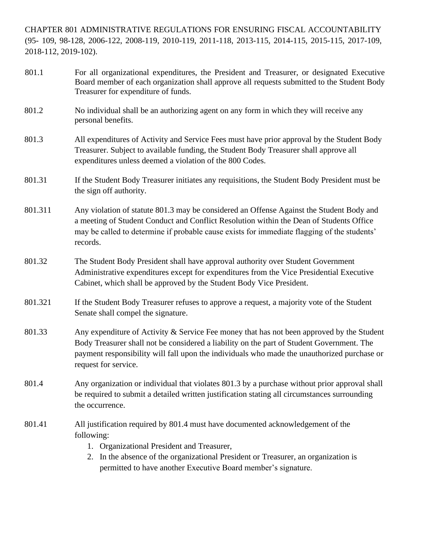CHAPTER 801 ADMINISTRATIVE REGULATIONS FOR ENSURING FISCAL ACCOUNTABILITY (95- 109, 98-128, 2006-122, 2008-119, 2010-119, 2011-118, 2013-115, 2014-115, 2015-115, 2017-109, 2018-112, 2019-102).

- 801.1 For all organizational expenditures, the President and Treasurer, or designated Executive Board member of each organization shall approve all requests submitted to the Student Body Treasurer for expenditure of funds.
- 801.2 No individual shall be an authorizing agent on any form in which they will receive any personal benefits.
- 801.3 All expenditures of Activity and Service Fees must have prior approval by the Student Body Treasurer. Subject to available funding, the Student Body Treasurer shall approve all expenditures unless deemed a violation of the 800 Codes.
- 801.31 If the Student Body Treasurer initiates any requisitions, the Student Body President must be the sign off authority.
- 801.311 Any violation of statute 801.3 may be considered an Offense Against the Student Body and a meeting of Student Conduct and Conflict Resolution within the Dean of Students Office may be called to determine if probable cause exists for immediate flagging of the students' records.
- 801.32 The Student Body President shall have approval authority over Student Government Administrative expenditures except for expenditures from the Vice Presidential Executive Cabinet, which shall be approved by the Student Body Vice President.
- 801.321 If the Student Body Treasurer refuses to approve a request, a majority vote of the Student Senate shall compel the signature.
- 801.33 Any expenditure of Activity & Service Fee money that has not been approved by the Student Body Treasurer shall not be considered a liability on the part of Student Government. The payment responsibility will fall upon the individuals who made the unauthorized purchase or request for service.
- 801.4 Any organization or individual that violates 801.3 by a purchase without prior approval shall be required to submit a detailed written justification stating all circumstances surrounding the occurrence.
- 801.41 All justification required by 801.4 must have documented acknowledgement of the following:
	- 1. Organizational President and Treasurer,
	- 2. In the absence of the organizational President or Treasurer, an organization is permitted to have another Executive Board member's signature.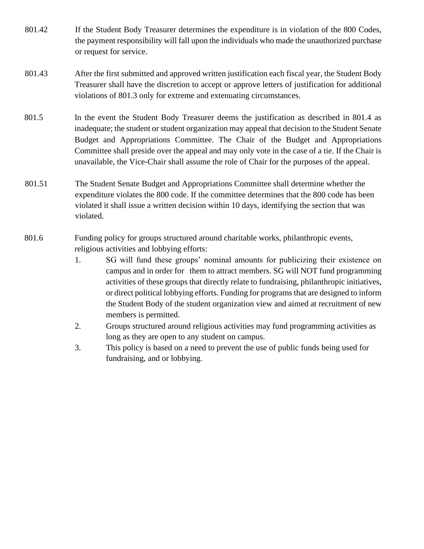- 801.42 If the Student Body Treasurer determines the expenditure is in violation of the 800 Codes, the payment responsibility will fall upon the individuals who made the unauthorized purchase or request for service.
- 801.43 After the first submitted and approved written justification each fiscal year, the Student Body Treasurer shall have the discretion to accept or approve letters of justification for additional violations of 801.3 only for extreme and extenuating circumstances.
- 801.5 In the event the Student Body Treasurer deems the justification as described in 801.4 as inadequate; the student or student organization may appeal that decision to the Student Senate Budget and Appropriations Committee. The Chair of the Budget and Appropriations Committee shall preside over the appeal and may only vote in the case of a tie. If the Chair is unavailable, the Vice-Chair shall assume the role of Chair for the purposes of the appeal.
- 801.51 The Student Senate Budget and Appropriations Committee shall determine whether the expenditure violates the 800 code. If the committee determines that the 800 code has been violated it shall issue a written decision within 10 days, identifying the section that was violated.
- 801.6 Funding policy for groups structured around charitable works, philanthropic events, religious activities and lobbying efforts:
	- 1. SG will fund these groups' nominal amounts for publicizing their existence on campus and in order for them to attract members. SG will NOT fund programming activities of these groups that directly relate to fundraising, philanthropic initiatives, or direct political lobbying efforts. Funding for programs that are designed to inform the Student Body of the student organization view and aimed at recruitment of new members is permitted.
	- 2. Groups structured around religious activities may fund programming activities as long as they are open to any student on campus.
	- 3. This policy is based on a need to prevent the use of public funds being used for fundraising, and or lobbying.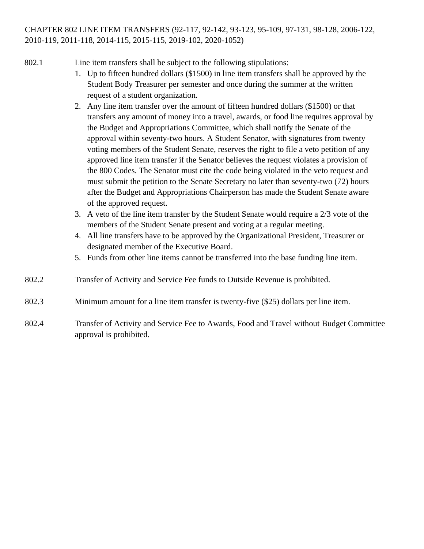## CHAPTER 802 LINE ITEM TRANSFERS (92-117, 92-142, 93-123, 95-109, 97-131, 98-128, 2006-122, 2010-119, 2011-118, 2014-115, 2015-115, 2019-102, 2020-1052)

- 802.1 Line item transfers shall be subject to the following stipulations:
	- 1. Up to fifteen hundred dollars (\$1500) in line item transfers shall be approved by the Student Body Treasurer per semester and once during the summer at the written request of a student organization.
	- 2. Any line item transfer over the amount of fifteen hundred dollars (\$1500) or that transfers any amount of money into a travel, awards, or food line requires approval by the Budget and Appropriations Committee, which shall notify the Senate of the approval within seventy-two hours. A Student Senator, with signatures from twenty voting members of the Student Senate, reserves the right to file a veto petition of any approved line item transfer if the Senator believes the request violates a provision of the 800 Codes. The Senator must cite the code being violated in the veto request and must submit the petition to the Senate Secretary no later than seventy-two (72) hours after the Budget and Appropriations Chairperson has made the Student Senate aware of the approved request.
	- 3. A veto of the line item transfer by the Student Senate would require a 2/3 vote of the members of the Student Senate present and voting at a regular meeting.
	- 4. All line transfers have to be approved by the Organizational President, Treasurer or designated member of the Executive Board.
	- 5. Funds from other line items cannot be transferred into the base funding line item.
- 802.2 Transfer of Activity and Service Fee funds to Outside Revenue is prohibited.
- 802.3 Minimum amount for a line item transfer is twenty-five (\$25) dollars per line item.
- 802.4 Transfer of Activity and Service Fee to Awards, Food and Travel without Budget Committee approval is prohibited.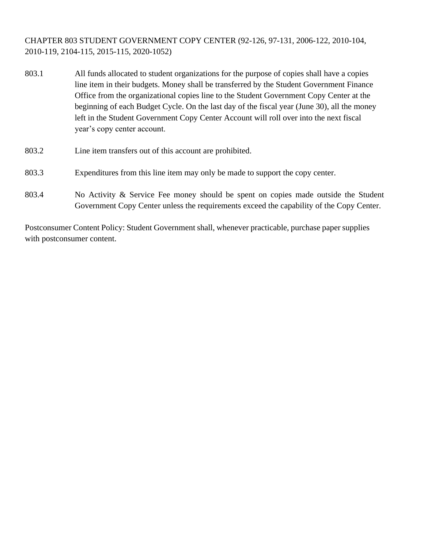CHAPTER 803 STUDENT GOVERNMENT COPY CENTER (92-126, 97-131, 2006-122, 2010-104, 2010-119, 2104-115, 2015-115, 2020-1052)

- 803.1 All funds allocated to student organizations for the purpose of copies shall have a copies line item in their budgets. Money shall be transferred by the Student Government Finance Office from the organizational copies line to the Student Government Copy Center at the beginning of each Budget Cycle. On the last day of the fiscal year (June 30), all the money left in the Student Government Copy Center Account will roll over into the next fiscal year's copy center account.
- 803.2 Line item transfers out of this account are prohibited.
- 803.3 Expenditures from this line item may only be made to support the copy center.
- 803.4 No Activity & Service Fee money should be spent on copies made outside the Student Government Copy Center unless the requirements exceed the capability of the Copy Center.

Postconsumer Content Policy: Student Government shall, whenever practicable, purchase paper supplies with postconsumer content.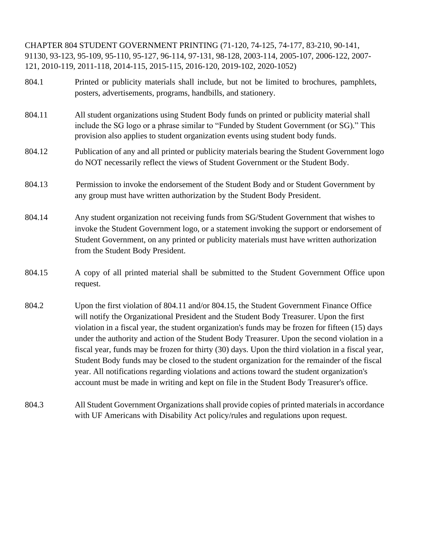CHAPTER 804 STUDENT GOVERNMENT PRINTING (71-120, 74-125, 74-177, 83-210, 90-141, 91130, 93-123, 95-109, 95-110, 95-127, 96-114, 97-131, 98-128, 2003-114, 2005-107, 2006-122, 2007- 121, 2010-119, 2011-118, 2014-115, 2015-115, 2016-120, 2019-102, 2020-1052)

- 804.1 Printed or publicity materials shall include, but not be limited to brochures, pamphlets, posters, advertisements, programs, handbills, and stationery.
- 804.11 All student organizations using Student Body funds on printed or publicity material shall include the SG logo or a phrase similar to "Funded by Student Government (or SG)." This provision also applies to student organization events using student body funds.
- 804.12 Publication of any and all printed or publicity materials bearing the Student Government logo do NOT necessarily reflect the views of Student Government or the Student Body.
- 804.13 Permission to invoke the endorsement of the Student Body and or Student Government by any group must have written authorization by the Student Body President.
- 804.14 Any student organization not receiving funds from SG/Student Government that wishes to invoke the Student Government logo, or a statement invoking the support or endorsement of Student Government, on any printed or publicity materials must have written authorization from the Student Body President.
- 804.15 A copy of all printed material shall be submitted to the Student Government Office upon request.
- 804.2 Upon the first violation of 804.11 and/or 804.15, the Student Government Finance Office will notify the Organizational President and the Student Body Treasurer. Upon the first violation in a fiscal year, the student organization's funds may be frozen for fifteen (15) days under the authority and action of the Student Body Treasurer. Upon the second violation in a fiscal year, funds may be frozen for thirty (30) days. Upon the third violation in a fiscal year, Student Body funds may be closed to the student organization for the remainder of the fiscal year. All notifications regarding violations and actions toward the student organization's account must be made in writing and kept on file in the Student Body Treasurer's office.
- 804.3 All Student Government Organizations shall provide copies of printed materials in accordance with UF Americans with Disability Act policy/rules and regulations upon request.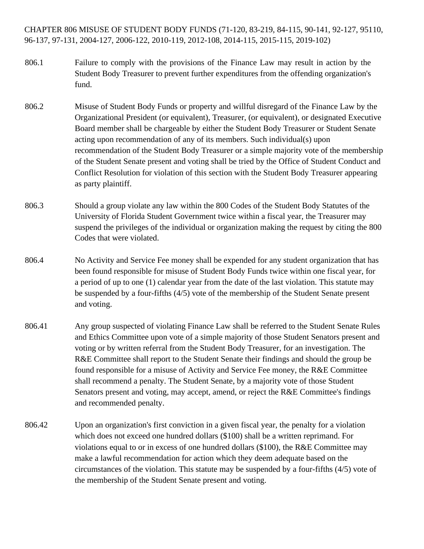CHAPTER 806 MISUSE OF STUDENT BODY FUNDS (71-120, 83-219, 84-115, 90-141, 92-127, 95110, 96-137, 97-131, 2004-127, 2006-122, 2010-119, 2012-108, 2014-115, 2015-115, 2019-102)

- 806.1 Failure to comply with the provisions of the Finance Law may result in action by the Student Body Treasurer to prevent further expenditures from the offending organization's fund.
- 806.2 Misuse of Student Body Funds or property and willful disregard of the Finance Law by the Organizational President (or equivalent), Treasurer, (or equivalent), or designated Executive Board member shall be chargeable by either the Student Body Treasurer or Student Senate acting upon recommendation of any of its members. Such individual(s) upon recommendation of the Student Body Treasurer or a simple majority vote of the membership of the Student Senate present and voting shall be tried by the Office of Student Conduct and Conflict Resolution for violation of this section with the Student Body Treasurer appearing as party plaintiff.
- 806.3 Should a group violate any law within the 800 Codes of the Student Body Statutes of the University of Florida Student Government twice within a fiscal year, the Treasurer may suspend the privileges of the individual or organization making the request by citing the 800 Codes that were violated.
- 806.4 No Activity and Service Fee money shall be expended for any student organization that has been found responsible for misuse of Student Body Funds twice within one fiscal year, for a period of up to one (1) calendar year from the date of the last violation. This statute may be suspended by a four-fifths (4/5) vote of the membership of the Student Senate present and voting.
- 806.41 Any group suspected of violating Finance Law shall be referred to the Student Senate Rules and Ethics Committee upon vote of a simple majority of those Student Senators present and voting or by written referral from the Student Body Treasurer, for an investigation. The R&E Committee shall report to the Student Senate their findings and should the group be found responsible for a misuse of Activity and Service Fee money, the R&E Committee shall recommend a penalty. The Student Senate, by a majority vote of those Student Senators present and voting, may accept, amend, or reject the R&E Committee's findings and recommended penalty.
- 806.42 Upon an organization's first conviction in a given fiscal year, the penalty for a violation which does not exceed one hundred dollars (\$100) shall be a written reprimand. For violations equal to or in excess of one hundred dollars  $(\$100)$ , the R&E Committee may make a lawful recommendation for action which they deem adequate based on the circumstances of the violation. This statute may be suspended by a four-fifths (4/5) vote of the membership of the Student Senate present and voting.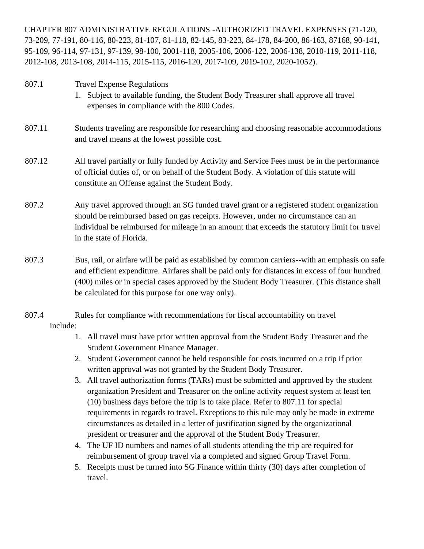CHAPTER 807 ADMINISTRATIVE REGULATIONS -AUTHORIZED TRAVEL EXPENSES (71-120, 73-209, 77-191, 80-116, 80-223, 81-107, 81-118, 82-145, 83-223, 84-178, 84-200, 86-163, 87168, 90-141, 95-109, 96-114, 97-131, 97-139, 98-100, 2001-118, 2005-106, 2006-122, 2006-138, 2010-119, 2011-118, 2012-108, 2013-108, 2014-115, 2015-115, 2016-120, 2017-109, 2019-102, 2020-1052).

| 807.1  | <b>Travel Expense Regulations</b><br>Subject to available funding, the Student Body Treasurer shall approve all travel<br>1.<br>expenses in compliance with the 800 Codes.                                                                                                                                   |
|--------|--------------------------------------------------------------------------------------------------------------------------------------------------------------------------------------------------------------------------------------------------------------------------------------------------------------|
| 807.11 | Students traveling are responsible for researching and choosing reasonable accommodations<br>and travel means at the lowest possible cost.                                                                                                                                                                   |
| 807.12 | All travel partially or fully funded by Activity and Service Fees must be in the performance<br>of official duties of, or on behalf of the Student Body. A violation of this statute will<br>constitute an Offense against the Student Body.                                                                 |
| 807.2  | Any travel approved through an SG funded travel grant or a registered student organization<br>should be reimbursed based on gas receipts. However, under no circumstance can an<br>individual be reimbursed for mileage in an amount that exceeds the statutory limit for travel<br>in the state of Florida. |
| 807.3  | Bus, rail, or airfare will be paid as established by common carriers--with an emphasis on safe<br>and efficient expenditure. Airfares shall be paid only for distances in excess of four hundred<br>(400) miles or in special cases approved by the Student Body Treasurer. (This distance shall             |

807.4 Rules for compliance with recommendations for fiscal accountability on travel include:

be calculated for this purpose for one way only).

- 1. All travel must have prior written approval from the Student Body Treasurer and the Student Government Finance Manager.
- 2. Student Government cannot be held responsible for costs incurred on a trip if prior written approval was not granted by the Student Body Treasurer.
- 3. All travel authorization forms (TARs) must be submitted and approved by the student organization President and Treasurer on the online activity request system at least ten (10) business days before the trip is to take place. Refer to 807.11 for special requirements in regards to travel. Exceptions to this rule may only be made in extreme circumstances as detailed in a letter of justification signed by the organizational president or treasurer and the approval of the Student Body Treasurer.
- 4. The UF ID numbers and names of all students attending the trip are required for reimbursement of group travel via a completed and signed Group Travel Form.
- 5. Receipts must be turned into SG Finance within thirty (30) days after completion of travel.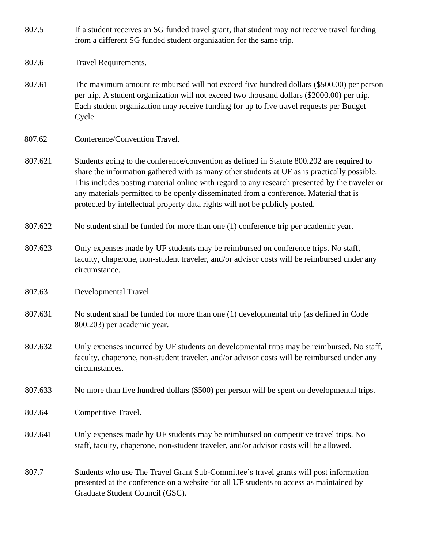| 807.5 | If a student receives an SG funded travel grant, that student may not receive travel funding |
|-------|----------------------------------------------------------------------------------------------|
|       | from a different SG funded student organization for the same trip.                           |

- 807.6 Travel Requirements.
- 807.61 The maximum amount reimbursed will not exceed five hundred dollars (\$500.00) per person per trip. A student organization will not exceed two thousand dollars (\$2000.00) per trip. Each student organization may receive funding for up to five travel requests per Budget Cycle.
- 807.62 Conference/Convention Travel.
- 807.621 Students going to the conference/convention as defined in Statute 800.202 are required to share the information gathered with as many other students at UF as is practically possible. This includes posting material online with regard to any research presented by the traveler or any materials permitted to be openly disseminated from a conference. Material that is protected by intellectual property data rights will not be publicly posted.
- 807.622 No student shall be funded for more than one (1) conference trip per academic year.
- 807.623 Only expenses made by UF students may be reimbursed on conference trips. No staff, faculty, chaperone, non-student traveler, and/or advisor costs will be reimbursed under any circumstance.
- 807.63 Developmental Travel
- 807.631 No student shall be funded for more than one (1) developmental trip (as defined in Code 800.203) per academic year.
- 807.632 Only expenses incurred by UF students on developmental trips may be reimbursed. No staff, faculty, chaperone, non-student traveler, and/or advisor costs will be reimbursed under any circumstances.
- 807.633 No more than five hundred dollars (\$500) per person will be spent on developmental trips.
- 807.64 Competitive Travel.
- 807.641 Only expenses made by UF students may be reimbursed on competitive travel trips. No staff, faculty, chaperone, non-student traveler, and/or advisor costs will be allowed.
- 807.7 Students who use The Travel Grant Sub-Committee's travel grants will post information presented at the conference on a website for all UF students to access as maintained by Graduate Student Council (GSC).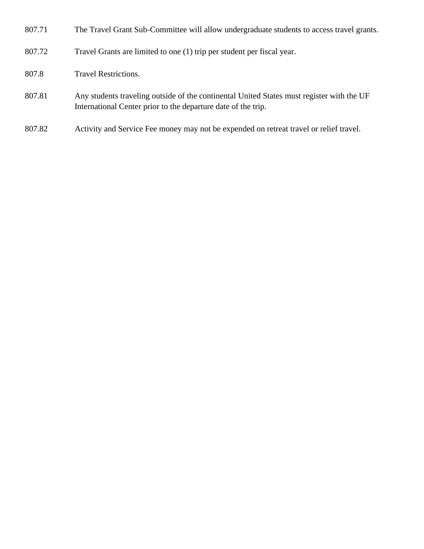- 807.71 The Travel Grant Sub-Committee will allow undergraduate students to access travel grants.
- 807.72 Travel Grants are limited to one (1) trip per student per fiscal year.
- 807.8 Travel Restrictions.
- 807.81 Any students traveling outside of the continental United States must register with the UF International Center prior to the departure date of the trip.
- 807.82 Activity and Service Fee money may not be expended on retreat travel or relief travel.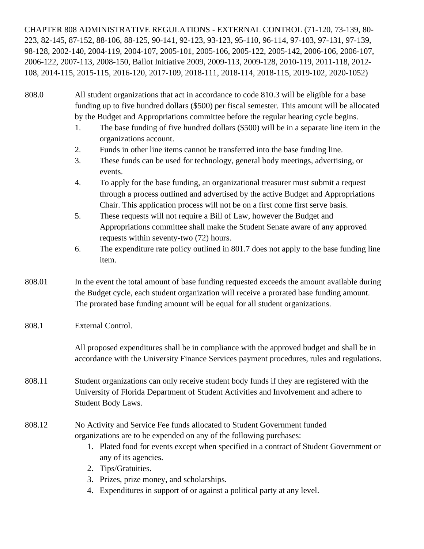CHAPTER 808 ADMINISTRATIVE REGULATIONS - EXTERNAL CONTROL (71-120, 73-139, 80- 223, 82-145, 87-152, 88-106, 88-125, 90-141, 92-123, 93-123, 95-110, 96-114, 97-103, 97-131, 97-139, 98-128, 2002-140, 2004-119, 2004-107, 2005-101, 2005-106, 2005-122, 2005-142, 2006-106, 2006-107, 2006-122, 2007-113, 2008-150, Ballot Initiative 2009, 2009-113, 2009-128, 2010-119, 2011-118, 2012- 108, 2014-115, 2015-115, 2016-120, 2017-109, 2018-111, 2018-114, 2018-115, 2019-102, 2020-1052)

- 808.0 All student organizations that act in accordance to code 810.3 will be eligible for a base funding up to five hundred dollars (\$500) per fiscal semester. This amount will be allocated by the Budget and Appropriations committee before the regular hearing cycle begins.
	- 1. The base funding of five hundred dollars (\$500) will be in a separate line item in the organizations account.
	- 2. Funds in other line items cannot be transferred into the base funding line.
	- 3. These funds can be used for technology, general body meetings, advertising, or events.
	- 4. To apply for the base funding, an organizational treasurer must submit a request through a process outlined and advertised by the active Budget and Appropriations Chair. This application process will not be on a first come first serve basis.
	- 5. These requests will not require a Bill of Law, however the Budget and Appropriations committee shall make the Student Senate aware of any approved requests within seventy-two (72) hours.
	- 6. The expenditure rate policy outlined in 801.7 does not apply to the base funding line item.
- 808.01 In the event the total amount of base funding requested exceeds the amount available during the Budget cycle, each student organization will receive a prorated base funding amount. The prorated base funding amount will be equal for all student organizations.
- 808.1 External Control.

All proposed expenditures shall be in compliance with the approved budget and shall be in accordance with the University Finance Services payment procedures, rules and regulations.

808.11 Student organizations can only receive student body funds if they are registered with the University of Florida Department of Student Activities and Involvement and adhere to Student Body Laws.

## 808.12 No Activity and Service Fee funds allocated to Student Government funded organizations are to be expended on any of the following purchases:

- 1. Plated food for events except when specified in a contract of Student Government or any of its agencies.
- 2. Tips/Gratuities.
- 3. Prizes, prize money, and scholarships.
- 4. Expenditures in support of or against a political party at any level.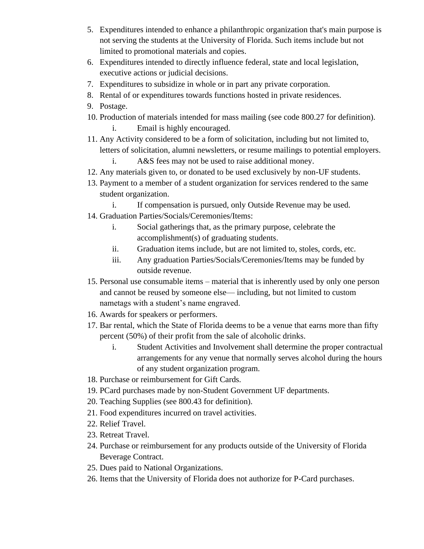- 5. Expenditures intended to enhance a philanthropic organization that's main purpose is not serving the students at the University of Florida. Such items include but not limited to promotional materials and copies.
- 6. Expenditures intended to directly influence federal, state and local legislation, executive actions or judicial decisions.
- 7. Expenditures to subsidize in whole or in part any private corporation.
- 8. Rental of or expenditures towards functions hosted in private residences.
- 9. Postage.
- 10. Production of materials intended for mass mailing (see code 800.27 for definition).
	- i. Email is highly encouraged.
- 11. Any Activity considered to be a form of solicitation, including but not limited to, letters of solicitation, alumni newsletters, or resume mailings to potential employers.

i. A&S fees may not be used to raise additional money.

- 12. Any materials given to, or donated to be used exclusively by non-UF students.
- 13. Payment to a member of a student organization for services rendered to the same student organization.
	- i. If compensation is pursued, only Outside Revenue may be used.
- 14. Graduation Parties/Socials/Ceremonies/Items:
	- i. Social gatherings that, as the primary purpose, celebrate the accomplishment(s) of graduating students.
	- ii. Graduation items include, but are not limited to, stoles, cords, etc.
	- iii. Any graduation Parties/Socials/Ceremonies/Items may be funded by outside revenue.
- 15. Personal use consumable items material that is inherently used by only one person and cannot be reused by someone else— including, but not limited to custom nametags with a student's name engraved.
- 16. Awards for speakers or performers.
- 17. Bar rental, which the State of Florida deems to be a venue that earns more than fifty percent (50%) of their profit from the sale of alcoholic drinks.
	- i. Student Activities and Involvement shall determine the proper contractual arrangements for any venue that normally serves alcohol during the hours of any student organization program.
- 18. Purchase or reimbursement for Gift Cards.
- 19. PCard purchases made by non-Student Government UF departments.
- 20. Teaching Supplies (see 800.43 for definition).
- 21. Food expenditures incurred on travel activities.
- 22. Relief Travel.
- 23. Retreat Travel.
- 24. Purchase or reimbursement for any products outside of the University of Florida Beverage Contract.
- 25. Dues paid to National Organizations.
- 26. Items that the University of Florida does not authorize for P-Card purchases.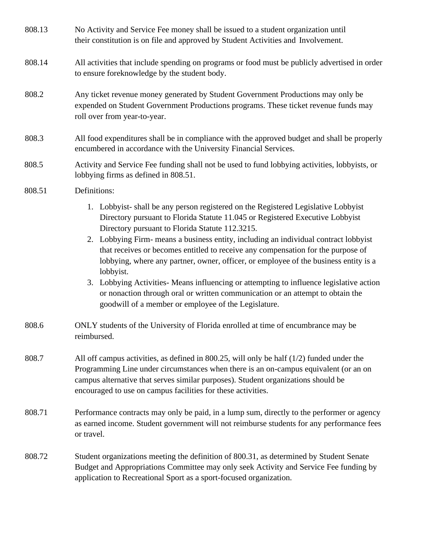| 808.13 | No Activity and Service Fee money shall be issued to a student organization until<br>their constitution is on file and approved by Student Activities and Involvement.                                                                                                                                                                   |
|--------|------------------------------------------------------------------------------------------------------------------------------------------------------------------------------------------------------------------------------------------------------------------------------------------------------------------------------------------|
| 808.14 | All activities that include spending on programs or food must be publicly advertised in order<br>to ensure foreknowledge by the student body.                                                                                                                                                                                            |
| 808.2  | Any ticket revenue money generated by Student Government Productions may only be<br>expended on Student Government Productions programs. These ticket revenue funds may<br>roll over from year-to-year.                                                                                                                                  |
| 808.3  | All food expenditures shall be in compliance with the approved budget and shall be properly<br>encumbered in accordance with the University Financial Services.                                                                                                                                                                          |
| 808.5  | Activity and Service Fee funding shall not be used to fund lobbying activities, lobbyists, or<br>lobbying firms as defined in 808.51.                                                                                                                                                                                                    |
| 808.51 | Definitions:                                                                                                                                                                                                                                                                                                                             |
|        | 1. Lobbyist-shall be any person registered on the Registered Legislative Lobbyist<br>Directory pursuant to Florida Statute 11.045 or Registered Executive Lobbyist<br>Directory pursuant to Florida Statute 112.3215.                                                                                                                    |
|        | 2. Lobbying Firm- means a business entity, including an individual contract lobbyist<br>that receives or becomes entitled to receive any compensation for the purpose of<br>lobbying, where any partner, owner, officer, or employee of the business entity is a<br>lobbyist.                                                            |
|        | 3. Lobbying Activities- Means influencing or attempting to influence legislative action<br>or nonaction through oral or written communication or an attempt to obtain the<br>goodwill of a member or employee of the Legislature.                                                                                                        |
| 808.6  | ONLY students of the University of Florida enrolled at time of encumbrance may be<br>reimbursed.                                                                                                                                                                                                                                         |
| 808.7  | All off campus activities, as defined in 800.25, will only be half $(1/2)$ funded under the<br>Programming Line under circumstances when there is an on-campus equivalent (or an on<br>campus alternative that serves similar purposes). Student organizations should be<br>encouraged to use on campus facilities for these activities. |
| 808.71 | Performance contracts may only be paid, in a lump sum, directly to the performer or agency<br>as earned income. Student government will not reimburse students for any performance fees<br>or travel.                                                                                                                                    |
| 808.72 | Student organizations meeting the definition of 800.31, as determined by Student Senate<br>Budget and Appropriations Committee may only seek Activity and Service Fee funding by<br>application to Recreational Sport as a sport-focused organization.                                                                                   |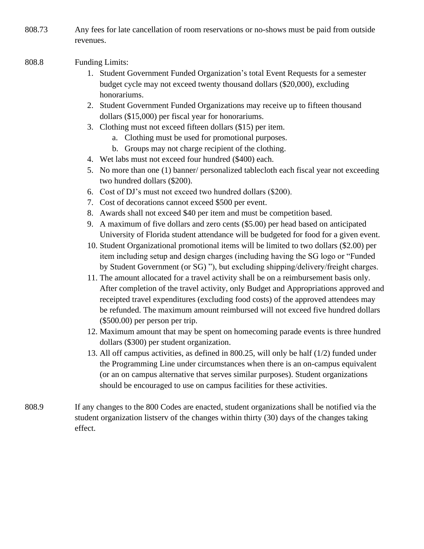808.73 Any fees for late cancellation of room reservations or no-shows must be paid from outside revenues.

#### 808.8 Funding Limits:

- 1. Student Government Funded Organization's total Event Requests for a semester budget cycle may not exceed twenty thousand dollars (\$20,000), excluding honorariums.
- 2. Student Government Funded Organizations may receive up to fifteen thousand dollars (\$15,000) per fiscal year for honorariums.
- 3. Clothing must not exceed fifteen dollars (\$15) per item.
	- a. Clothing must be used for promotional purposes.
	- b. Groups may not charge recipient of the clothing.
- 4. Wet labs must not exceed four hundred (\$400) each.
- 5. No more than one (1) banner/ personalized tablecloth each fiscal year not exceeding two hundred dollars (\$200).
- 6. Cost of DJ's must not exceed two hundred dollars (\$200).
- 7. Cost of decorations cannot exceed \$500 per event.
- 8. Awards shall not exceed \$40 per item and must be competition based.
- 9. A maximum of five dollars and zero cents (\$5.00) per head based on anticipated University of Florida student attendance will be budgeted for food for a given event.
- 10. Student Organizational promotional items will be limited to two dollars (\$2.00) per item including setup and design charges (including having the SG logo or "Funded by Student Government (or SG) "), but excluding shipping/delivery/freight charges.
- 11. The amount allocated for a travel activity shall be on a reimbursement basis only. After completion of the travel activity, only Budget and Appropriations approved and receipted travel expenditures (excluding food costs) of the approved attendees may be refunded. The maximum amount reimbursed will not exceed five hundred dollars (\$500.00) per person per trip.
- 12. Maximum amount that may be spent on homecoming parade events is three hundred dollars (\$300) per student organization.
- 13. All off campus activities, as defined in 800.25, will only be half (1/2) funded under the Programming Line under circumstances when there is an on-campus equivalent (or an on campus alternative that serves similar purposes). Student organizations should be encouraged to use on campus facilities for these activities.
- 808.9 If any changes to the 800 Codes are enacted, student organizations shall be notified via the student organization listserv of the changes within thirty (30) days of the changes taking effect.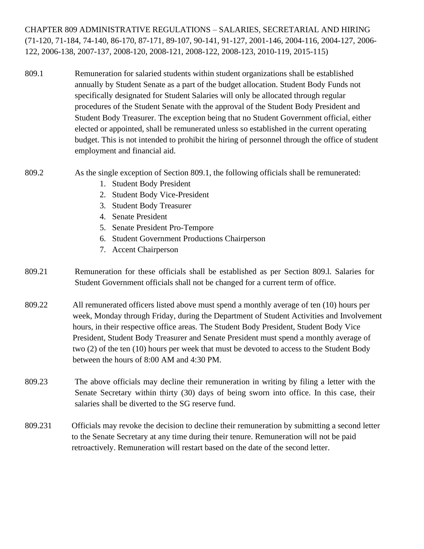CHAPTER 809 ADMINISTRATIVE REGULATIONS – SALARIES, SECRETARIAL AND HIRING (71-120, 71-184, 74-140, 86-170, 87-171, 89-107, 90-141, 91-127, 2001-146, 2004-116, 2004-127, 2006- 122, 2006-138, 2007-137, 2008-120, 2008-121, 2008-122, 2008-123, 2010-119, 2015-115)

809.1 Remuneration for salaried students within student organizations shall be established annually by Student Senate as a part of the budget allocation. Student Body Funds not specifically designated for Student Salaries will only be allocated through regular procedures of the Student Senate with the approval of the Student Body President and Student Body Treasurer. The exception being that no Student Government official, either elected or appointed, shall be remunerated unless so established in the current operating budget. This is not intended to prohibit the hiring of personnel through the office of student employment and financial aid.

## 809.2 As the single exception of Section 809.1, the following officials shall be remunerated:

- 1. Student Body President
- 2. Student Body Vice-President
- 3. Student Body Treasurer
- 4. Senate President
- 5. Senate President Pro-Tempore
- 6. Student Government Productions Chairperson
- 7. Accent Chairperson
- 809.21 Remuneration for these officials shall be established as per Section 809.l. Salaries for Student Government officials shall not be changed for a current term of office.
- 809.22 All remunerated officers listed above must spend a monthly average of ten (10) hours per week, Monday through Friday, during the Department of Student Activities and Involvement hours, in their respective office areas. The Student Body President, Student Body Vice President, Student Body Treasurer and Senate President must spend a monthly average of two (2) of the ten (10) hours per week that must be devoted to access to the Student Body between the hours of 8:00 AM and 4:30 PM.
- 809.23 The above officials may decline their remuneration in writing by filing a letter with the Senate Secretary within thirty (30) days of being sworn into office. In this case, their salaries shall be diverted to the SG reserve fund.
- 809.231 Officials may revoke the decision to decline their remuneration by submitting a second letter to the Senate Secretary at any time during their tenure. Remuneration will not be paid retroactively. Remuneration will restart based on the date of the second letter.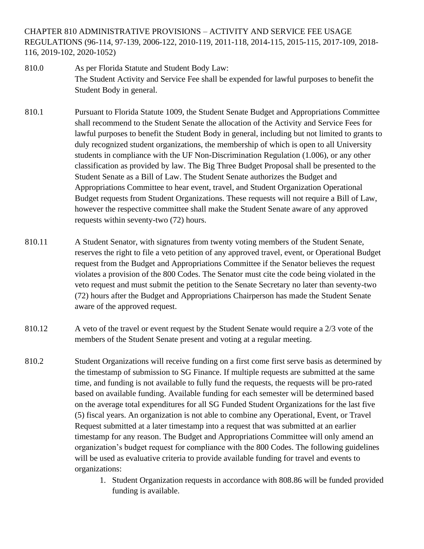CHAPTER 810 ADMINISTRATIVE PROVISIONS – ACTIVITY AND SERVICE FEE USAGE REGULATIONS (96-114, 97-139, 2006-122, 2010-119, 2011-118, 2014-115, 2015-115, 2017-109, 2018- 116, 2019-102, 2020-1052)

- 810.0 As per Florida Statute and Student Body Law: The Student Activity and Service Fee shall be expended for lawful purposes to benefit the Student Body in general.
- 810.1 Pursuant to Florida Statute 1009, the Student Senate Budget and Appropriations Committee shall recommend to the Student Senate the allocation of the Activity and Service Fees for lawful purposes to benefit the Student Body in general, including but not limited to grants to duly recognized student organizations, the membership of which is open to all University students in compliance with the UF Non-Discrimination Regulation (1.006), or any other classification as provided by law. The Big Three Budget Proposal shall be presented to the Student Senate as a Bill of Law. The Student Senate authorizes the Budget and Appropriations Committee to hear event, travel, and Student Organization Operational Budget requests from Student Organizations. These requests will not require a Bill of Law, however the respective committee shall make the Student Senate aware of any approved requests within seventy-two (72) hours.
- 810.11 A Student Senator, with signatures from twenty voting members of the Student Senate, reserves the right to file a veto petition of any approved travel, event, or Operational Budget request from the Budget and Appropriations Committee if the Senator believes the request violates a provision of the 800 Codes. The Senator must cite the code being violated in the veto request and must submit the petition to the Senate Secretary no later than seventy-two (72) hours after the Budget and Appropriations Chairperson has made the Student Senate aware of the approved request.
- 810.12 A veto of the travel or event request by the Student Senate would require a 2/3 vote of the members of the Student Senate present and voting at a regular meeting.
- 810.2 Student Organizations will receive funding on a first come first serve basis as determined by the timestamp of submission to SG Finance. If multiple requests are submitted at the same time, and funding is not available to fully fund the requests, the requests will be pro-rated based on available funding. Available funding for each semester will be determined based on the average total expenditures for all SG Funded Student Organizations for the last five (5) fiscal years. An organization is not able to combine any Operational, Event, or Travel Request submitted at a later timestamp into a request that was submitted at an earlier timestamp for any reason. The Budget and Appropriations Committee will only amend an organization's budget request for compliance with the 800 Codes. The following guidelines will be used as evaluative criteria to provide available funding for travel and events to organizations:
	- 1. Student Organization requests in accordance with 808.86 will be funded provided funding is available.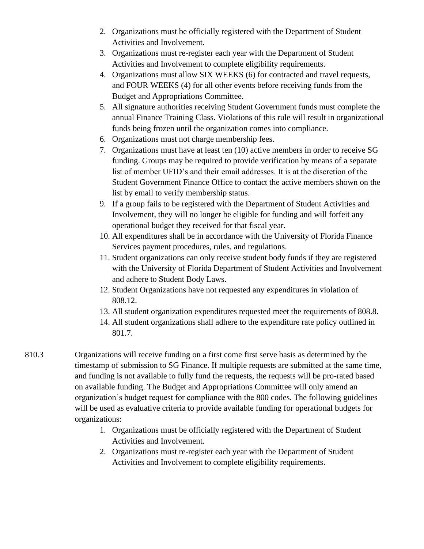- 2. Organizations must be officially registered with the Department of Student Activities and Involvement.
- 3. Organizations must re-register each year with the Department of Student Activities and Involvement to complete eligibility requirements.
- 4. Organizations must allow SIX WEEKS (6) for contracted and travel requests, and FOUR WEEKS (4) for all other events before receiving funds from the Budget and Appropriations Committee.
- 5. All signature authorities receiving Student Government funds must complete the annual Finance Training Class. Violations of this rule will result in organizational funds being frozen until the organization comes into compliance.
- 6. Organizations must not charge membership fees.
- 7. Organizations must have at least ten (10) active members in order to receive SG funding. Groups may be required to provide verification by means of a separate list of member UFID's and their email addresses. It is at the discretion of the Student Government Finance Office to contact the active members shown on the list by email to verify membership status.
- 9. If a group fails to be registered with the Department of Student Activities and Involvement, they will no longer be eligible for funding and will forfeit any operational budget they received for that fiscal year.
- 10. All expenditures shall be in accordance with the University of Florida Finance Services payment procedures, rules, and regulations.
- 11. Student organizations can only receive student body funds if they are registered with the University of Florida Department of Student Activities and Involvement and adhere to Student Body Laws.
- 12. Student Organizations have not requested any expenditures in violation of 808.12.
- 13. All student organization expenditures requested meet the requirements of 808.8.
- 14. All student organizations shall adhere to the expenditure rate policy outlined in 801.7.
- 810.3 Organizations will receive funding on a first come first serve basis as determined by the timestamp of submission to SG Finance. If multiple requests are submitted at the same time, and funding is not available to fully fund the requests, the requests will be pro-rated based on available funding. The Budget and Appropriations Committee will only amend an organization's budget request for compliance with the 800 codes. The following guidelines will be used as evaluative criteria to provide available funding for operational budgets for organizations:
	- 1. Organizations must be officially registered with the Department of Student Activities and Involvement.
	- 2. Organizations must re-register each year with the Department of Student Activities and Involvement to complete eligibility requirements.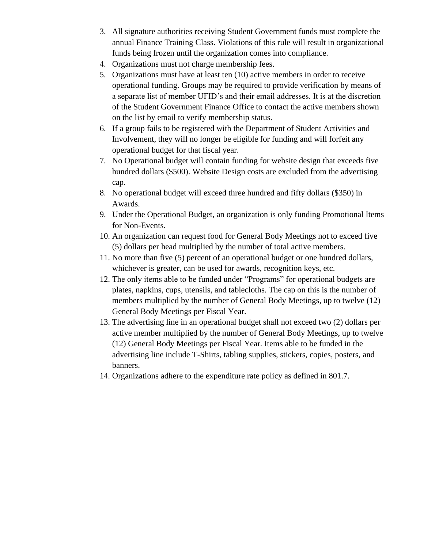- 3. All signature authorities receiving Student Government funds must complete the annual Finance Training Class. Violations of this rule will result in organizational funds being frozen until the organization comes into compliance.
- 4. Organizations must not charge membership fees.
- 5. Organizations must have at least ten (10) active members in order to receive operational funding. Groups may be required to provide verification by means of a separate list of member UFID's and their email addresses. It is at the discretion of the Student Government Finance Office to contact the active members shown on the list by email to verify membership status.
- 6. If a group fails to be registered with the Department of Student Activities and Involvement, they will no longer be eligible for funding and will forfeit any operational budget for that fiscal year.
- 7. No Operational budget will contain funding for website design that exceeds five hundred dollars (\$500). Website Design costs are excluded from the advertising cap.
- 8. No operational budget will exceed three hundred and fifty dollars (\$350) in Awards.
- 9. Under the Operational Budget, an organization is only funding Promotional Items for Non-Events.
- 10. An organization can request food for General Body Meetings not to exceed five (5) dollars per head multiplied by the number of total active members.
- 11. No more than five (5) percent of an operational budget or one hundred dollars, whichever is greater, can be used for awards, recognition keys, etc.
- 12. The only items able to be funded under "Programs" for operational budgets are plates, napkins, cups, utensils, and tablecloths. The cap on this is the number of members multiplied by the number of General Body Meetings, up to twelve (12) General Body Meetings per Fiscal Year.
- 13. The advertising line in an operational budget shall not exceed two (2) dollars per active member multiplied by the number of General Body Meetings, up to twelve (12) General Body Meetings per Fiscal Year. Items able to be funded in the advertising line include T-Shirts, tabling supplies, stickers, copies, posters, and banners.
- 14. Organizations adhere to the expenditure rate policy as defined in 801.7.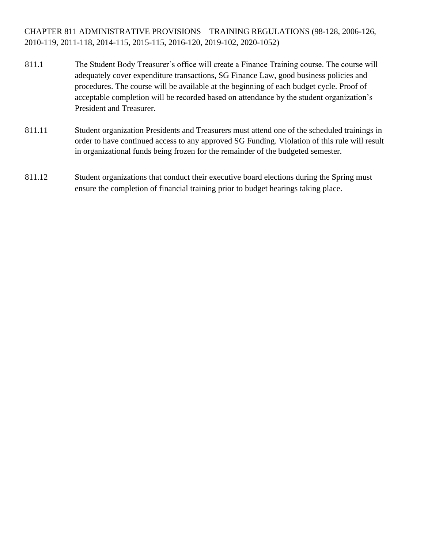CHAPTER 811 ADMINISTRATIVE PROVISIONS – TRAINING REGULATIONS (98-128, 2006-126, 2010-119, 2011-118, 2014-115, 2015-115, 2016-120, 2019-102, 2020-1052)

- 811.1 The Student Body Treasurer's office will create a Finance Training course. The course will adequately cover expenditure transactions, SG Finance Law, good business policies and procedures. The course will be available at the beginning of each budget cycle. Proof of acceptable completion will be recorded based on attendance by the student organization's President and Treasurer.
- 811.11 Student organization Presidents and Treasurers must attend one of the scheduled trainings in order to have continued access to any approved SG Funding. Violation of this rule will result in organizational funds being frozen for the remainder of the budgeted semester.
- 811.12 Student organizations that conduct their executive board elections during the Spring must ensure the completion of financial training prior to budget hearings taking place.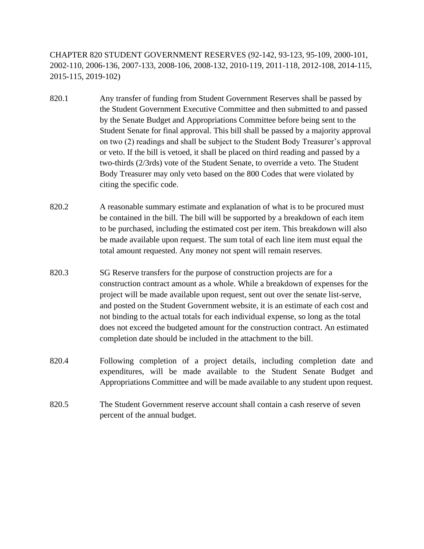CHAPTER 820 STUDENT GOVERNMENT RESERVES (92-142, 93-123, 95-109, 2000-101, 2002-110, 2006-136, 2007-133, 2008-106, 2008-132, 2010-119, 2011-118, 2012-108, 2014-115, 2015-115, 2019-102)

- 820.1 Any transfer of funding from Student Government Reserves shall be passed by the Student Government Executive Committee and then submitted to and passed by the Senate Budget and Appropriations Committee before being sent to the Student Senate for final approval. This bill shall be passed by a majority approval on two (2) readings and shall be subject to the Student Body Treasurer's approval or veto. If the bill is vetoed, it shall be placed on third reading and passed by a two-thirds (2/3rds) vote of the Student Senate, to override a veto. The Student Body Treasurer may only veto based on the 800 Codes that were violated by citing the specific code.
- 820.2 A reasonable summary estimate and explanation of what is to be procured must be contained in the bill. The bill will be supported by a breakdown of each item to be purchased, including the estimated cost per item. This breakdown will also be made available upon request. The sum total of each line item must equal the total amount requested. Any money not spent will remain reserves.
- 820.3 SG Reserve transfers for the purpose of construction projects are for a construction contract amount as a whole. While a breakdown of expenses for the project will be made available upon request, sent out over the senate list-serve, and posted on the Student Government website, it is an estimate of each cost and not binding to the actual totals for each individual expense, so long as the total does not exceed the budgeted amount for the construction contract. An estimated completion date should be included in the attachment to the bill.
- 820.4 Following completion of a project details, including completion date and expenditures, will be made available to the Student Senate Budget and Appropriations Committee and will be made available to any student upon request.
- 820.5 The Student Government reserve account shall contain a cash reserve of seven percent of the annual budget.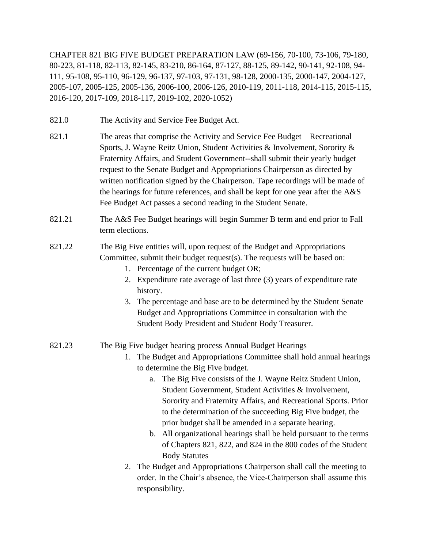CHAPTER 821 BIG FIVE BUDGET PREPARATION LAW (69-156, 70-100, 73-106, 79-180, 80-223, 81-118, 82-113, 82-145, 83-210, 86-164, 87-127, 88-125, 89-142, 90-141, 92-108, 94- 111, 95-108, 95-110, 96-129, 96-137, 97-103, 97-131, 98-128, 2000-135, 2000-147, 2004-127, 2005-107, 2005-125, 2005-136, 2006-100, 2006-126, 2010-119, 2011-118, 2014-115, 2015-115, 2016-120, 2017-109, 2018-117, 2019-102, 2020-1052)

- 821.0 The Activity and Service Fee Budget Act.
- 821.1 The areas that comprise the Activity and Service Fee Budget—Recreational Sports, J. Wayne Reitz Union, Student Activities & Involvement, Sorority & Fraternity Affairs, and Student Government--shall submit their yearly budget request to the Senate Budget and Appropriations Chairperson as directed by written notification signed by the Chairperson. Tape recordings will be made of the hearings for future references, and shall be kept for one year after the A&S Fee Budget Act passes a second reading in the Student Senate.
- 821.21 The A&S Fee Budget hearings will begin Summer B term and end prior to Fall term elections.
- 821.22 The Big Five entities will, upon request of the Budget and Appropriations Committee, submit their budget request(s). The requests will be based on:
	- 1. Percentage of the current budget OR;
	- 2. Expenditure rate average of last three (3) years of expenditure rate history.
	- 3. The percentage and base are to be determined by the Student Senate Budget and Appropriations Committee in consultation with the Student Body President and Student Body Treasurer.

#### 821.23 The Big Five budget hearing process Annual Budget Hearings

- 1. The Budget and Appropriations Committee shall hold annual hearings to determine the Big Five budget.
	- a. The Big Five consists of the J. Wayne Reitz Student Union, Student Government, Student Activities & Involvement, Sorority and Fraternity Affairs, and Recreational Sports. Prior to the determination of the succeeding Big Five budget, the prior budget shall be amended in a separate hearing.
	- b. All organizational hearings shall be held pursuant to the terms of Chapters 821, 822, and 824 in the 800 codes of the Student Body Statutes
- 2. The Budget and Appropriations Chairperson shall call the meeting to order. In the Chair's absence, the Vice-Chairperson shall assume this responsibility.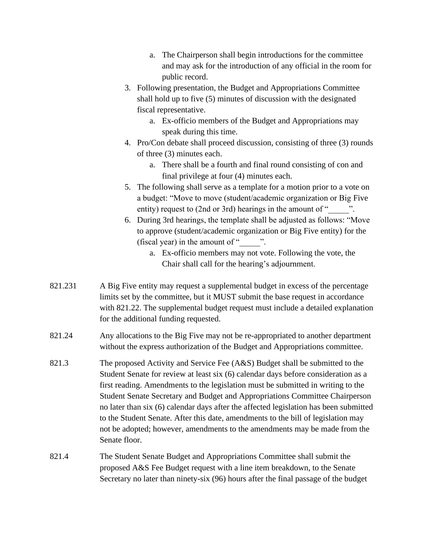- a. The Chairperson shall begin introductions for the committee and may ask for the introduction of any official in the room for public record.
- 3. Following presentation, the Budget and Appropriations Committee shall hold up to five (5) minutes of discussion with the designated fiscal representative.
	- a. Ex-officio members of the Budget and Appropriations may speak during this time.
- 4. Pro/Con debate shall proceed discussion, consisting of three (3) rounds of three (3) minutes each.
	- a. There shall be a fourth and final round consisting of con and final privilege at four (4) minutes each.
- 5. The following shall serve as a template for a motion prior to a vote on a budget: "Move to move (student/academic organization or Big Five entity) request to (2nd or 3rd) hearings in the amount of "
- 6. During 3rd hearings, the template shall be adjusted as follows: "Move to approve (student/academic organization or Big Five entity) for the (fiscal year) in the amount of " $\cdots$ ".
	- a. Ex-officio members may not vote. Following the vote, the Chair shall call for the hearing's adjournment.
- 821.231 A Big Five entity may request a supplemental budget in excess of the percentage limits set by the committee, but it MUST submit the base request in accordance with 821.22. The supplemental budget request must include a detailed explanation for the additional funding requested.
- 821.24 Any allocations to the Big Five may not be re-appropriated to another department without the express authorization of the Budget and Appropriations committee.
- 821.3 The proposed Activity and Service Fee (A&S) Budget shall be submitted to the Student Senate for review at least six (6) calendar days before consideration as a first reading. Amendments to the legislation must be submitted in writing to the Student Senate Secretary and Budget and Appropriations Committee Chairperson no later than six (6) calendar days after the affected legislation has been submitted to the Student Senate. After this date, amendments to the bill of legislation may not be adopted; however, amendments to the amendments may be made from the Senate floor.
- 821.4 The Student Senate Budget and Appropriations Committee shall submit the proposed A&S Fee Budget request with a line item breakdown, to the Senate Secretary no later than ninety-six (96) hours after the final passage of the budget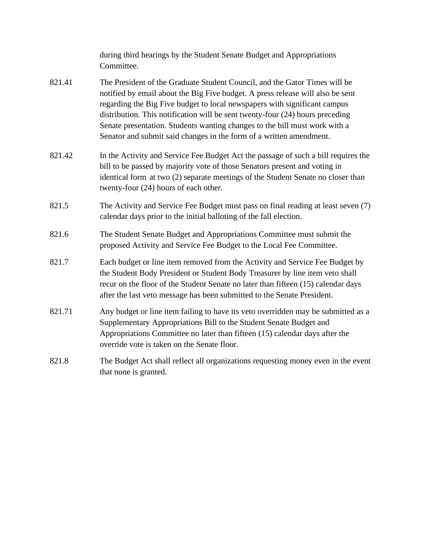|        | during third hearings by the Student Senate Budget and Appropriations<br>Committee.                                                                                                                                                                                                                                                                                                                                                                                             |
|--------|---------------------------------------------------------------------------------------------------------------------------------------------------------------------------------------------------------------------------------------------------------------------------------------------------------------------------------------------------------------------------------------------------------------------------------------------------------------------------------|
| 821.41 | The President of the Graduate Student Council, and the Gator Times will be<br>notified by email about the Big Five budget. A press release will also be sent<br>regarding the Big Five budget to local newspapers with significant campus<br>distribution. This notification will be sent twenty-four (24) hours preceding<br>Senate presentation. Students wanting changes to the bill must work with a<br>Senator and submit said changes in the form of a written amendment. |
| 821.42 | In the Activity and Service Fee Budget Act the passage of such a bill requires the<br>bill to be passed by majority vote of those Senators present and voting in<br>identical form at two (2) separate meetings of the Student Senate no closer than<br>twenty-four (24) hours of each other.                                                                                                                                                                                   |
| 821.5  | The Activity and Service Fee Budget must pass on final reading at least seven (7)<br>calendar days prior to the initial balloting of the fall election.                                                                                                                                                                                                                                                                                                                         |
| 821.6  | The Student Senate Budget and Appropriations Committee must submit the<br>proposed Activity and Service Fee Budget to the Local Fee Committee.                                                                                                                                                                                                                                                                                                                                  |
| 821.7  | Each budget or line item removed from the Activity and Service Fee Budget by<br>the Student Body President or Student Body Treasurer by line item veto shall<br>recur on the floor of the Student Senate no later than fifteen (15) calendar days<br>after the last veto message has been submitted to the Senate President.                                                                                                                                                    |
| 821.71 | Any budget or line item failing to have its veto overridden may be submitted as a<br>Supplementary Appropriations Bill to the Student Senate Budget and<br>Appropriations Committee no later than fifteen (15) calendar days after the<br>override vote is taken on the Senate floor.                                                                                                                                                                                           |
| 821.8  | The Budget Act shall reflect all organizations requesting money even in the event<br>that none is granted.                                                                                                                                                                                                                                                                                                                                                                      |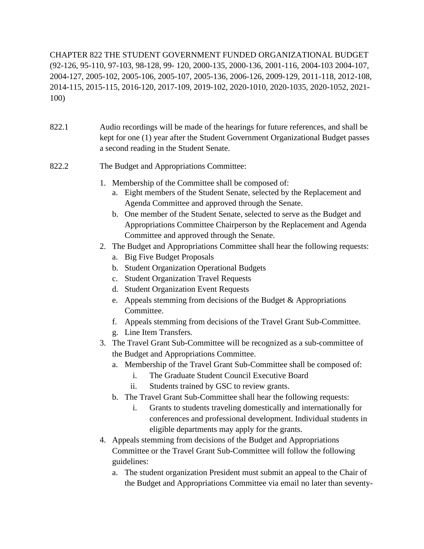CHAPTER 822 THE STUDENT GOVERNMENT FUNDED ORGANIZATIONAL BUDGET (92-126, 95-110, 97-103, 98-128, 99- 120, 2000-135, 2000-136, 2001-116, 2004-103 2004-107, 2004-127, 2005-102, 2005-106, 2005-107, 2005-136, 2006-126, 2009-129, 2011-118, 2012-108, 2014-115, 2015-115, 2016-120, 2017-109, 2019-102, 2020-1010, 2020-1035, 2020-1052, 2021- 100)

- 822.1 Audio recordings will be made of the hearings for future references, and shall be kept for one (1) year after the Student Government Organizational Budget passes a second reading in the Student Senate.
- 822.2 The Budget and Appropriations Committee:
	- 1. Membership of the Committee shall be composed of:
		- a. Eight members of the Student Senate, selected by the Replacement and Agenda Committee and approved through the Senate.
		- b. One member of the Student Senate, selected to serve as the Budget and Appropriations Committee Chairperson by the Replacement and Agenda Committee and approved through the Senate.
	- 2. The Budget and Appropriations Committee shall hear the following requests:
		- a. Big Five Budget Proposals
		- b. Student Organization Operational Budgets
		- c. Student Organization Travel Requests
		- d. Student Organization Event Requests
		- e. Appeals stemming from decisions of the Budget & Appropriations Committee.
		- f. Appeals stemming from decisions of the Travel Grant Sub-Committee.
		- g. Line Item Transfers.
	- 3. The Travel Grant Sub-Committee will be recognized as a sub-committee of the Budget and Appropriations Committee.
		- a. Membership of the Travel Grant Sub-Committee shall be composed of:
			- i. The Graduate Student Council Executive Board
			- ii. Students trained by GSC to review grants.
		- b. The Travel Grant Sub-Committee shall hear the following requests:
			- i. Grants to students traveling domestically and internationally for conferences and professional development. Individual students in eligible departments may apply for the grants.
	- 4. Appeals stemming from decisions of the Budget and Appropriations Committee or the Travel Grant Sub-Committee will follow the following guidelines:
		- a. The student organization President must submit an appeal to the Chair of the Budget and Appropriations Committee via email no later than seventy-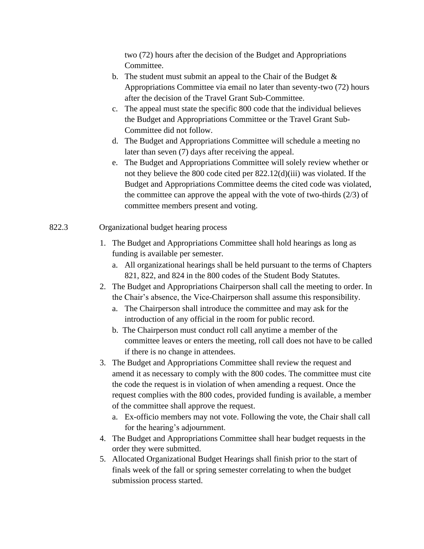two (72) hours after the decision of the Budget and Appropriations Committee.

- b. The student must submit an appeal to the Chair of the Budget  $\&$ Appropriations Committee via email no later than seventy-two (72) hours after the decision of the Travel Grant Sub-Committee.
- c. The appeal must state the specific 800 code that the individual believes the Budget and Appropriations Committee or the Travel Grant Sub-Committee did not follow.
- d. The Budget and Appropriations Committee will schedule a meeting no later than seven (7) days after receiving the appeal.
- e. The Budget and Appropriations Committee will solely review whether or not they believe the 800 code cited per 822.12(d)(iii) was violated. If the Budget and Appropriations Committee deems the cited code was violated, the committee can approve the appeal with the vote of two-thirds (2/3) of committee members present and voting.
- 822.3 Organizational budget hearing process
	- 1. The Budget and Appropriations Committee shall hold hearings as long as funding is available per semester.
		- a. All organizational hearings shall be held pursuant to the terms of Chapters 821, 822, and 824 in the 800 codes of the Student Body Statutes.
	- 2. The Budget and Appropriations Chairperson shall call the meeting to order. In the Chair's absence, the Vice-Chairperson shall assume this responsibility.
		- a. The Chairperson shall introduce the committee and may ask for the introduction of any official in the room for public record.
		- b. The Chairperson must conduct roll call anytime a member of the committee leaves or enters the meeting, roll call does not have to be called if there is no change in attendees.
	- 3. The Budget and Appropriations Committee shall review the request and amend it as necessary to comply with the 800 codes. The committee must cite the code the request is in violation of when amending a request. Once the request complies with the 800 codes, provided funding is available, a member of the committee shall approve the request.
		- a. Ex-officio members may not vote. Following the vote, the Chair shall call for the hearing's adjournment.
	- 4. The Budget and Appropriations Committee shall hear budget requests in the order they were submitted.
	- 5. Allocated Organizational Budget Hearings shall finish prior to the start of finals week of the fall or spring semester correlating to when the budget submission process started.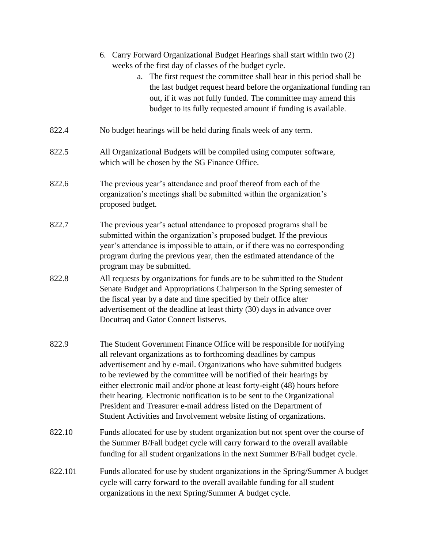|         | 6. Carry Forward Organizational Budget Hearings shall start within two (2)<br>weeks of the first day of classes of the budget cycle.<br>The first request the committee shall hear in this period shall be<br>a.<br>the last budget request heard before the organizational funding ran<br>out, if it was not fully funded. The committee may amend this<br>budget to its fully requested amount if funding is available.                                                                                                                                                                               |
|---------|---------------------------------------------------------------------------------------------------------------------------------------------------------------------------------------------------------------------------------------------------------------------------------------------------------------------------------------------------------------------------------------------------------------------------------------------------------------------------------------------------------------------------------------------------------------------------------------------------------|
| 822.4   | No budget hearings will be held during finals week of any term.                                                                                                                                                                                                                                                                                                                                                                                                                                                                                                                                         |
| 822.5   | All Organizational Budgets will be compiled using computer software,<br>which will be chosen by the SG Finance Office.                                                                                                                                                                                                                                                                                                                                                                                                                                                                                  |
| 822.6   | The previous year's attendance and proof thereof from each of the<br>organization's meetings shall be submitted within the organization's<br>proposed budget.                                                                                                                                                                                                                                                                                                                                                                                                                                           |
| 822.7   | The previous year's actual attendance to proposed programs shall be<br>submitted within the organization's proposed budget. If the previous<br>year's attendance is impossible to attain, or if there was no corresponding<br>program during the previous year, then the estimated attendance of the<br>program may be submitted.                                                                                                                                                                                                                                                                       |
| 822.8   | All requests by organizations for funds are to be submitted to the Student<br>Senate Budget and Appropriations Chairperson in the Spring semester of<br>the fiscal year by a date and time specified by their office after<br>advertisement of the deadline at least thirty (30) days in advance over<br>Docutraq and Gator Connect listservs.                                                                                                                                                                                                                                                          |
| 822.9   | The Student Government Finance Office will be responsible for notifying<br>all relevant organizations as to forthcoming deadlines by campus<br>advertisement and by e-mail. Organizations who have submitted budgets<br>to be reviewed by the committee will be notified of their hearings by<br>either electronic mail and/or phone at least forty-eight (48) hours before<br>their hearing. Electronic notification is to be sent to the Organizational<br>President and Treasurer e-mail address listed on the Department of<br>Student Activities and Involvement website listing of organizations. |
| 822.10  | Funds allocated for use by student organization but not spent over the course of<br>the Summer B/Fall budget cycle will carry forward to the overall available<br>funding for all student organizations in the next Summer B/Fall budget cycle.                                                                                                                                                                                                                                                                                                                                                         |
| 822.101 | Funds allocated for use by student organizations in the Spring/Summer A budget<br>cycle will carry forward to the overall available funding for all student<br>organizations in the next Spring/Summer A budget cycle.                                                                                                                                                                                                                                                                                                                                                                                  |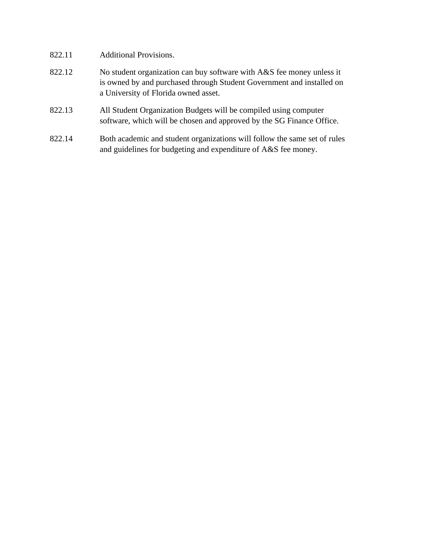- 822.11 Additional Provisions.
- 822.12 No student organization can buy software with A&S fee money unless it is owned by and purchased through Student Government and installed on a University of Florida owned asset.
- 822.13 All Student Organization Budgets will be compiled using computer software, which will be chosen and approved by the SG Finance Office.
- 822.14 Both academic and student organizations will follow the same set of rules and guidelines for budgeting and expenditure of A&S fee money.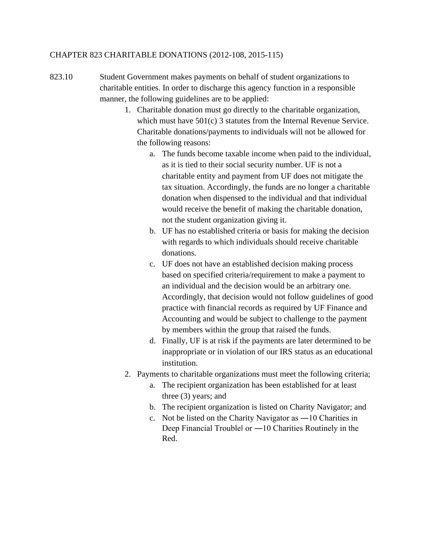#### CHAPTER 823 CHARITABLE DONATIONS (2012-108, 2015-115)

- 823.10 Student Government makes payments on behalf of student organizations to charitable entities. In order to discharge this agency function in a responsible manner, the following guidelines are to be applied:
	- 1. Charitable donation must go directly to the charitable organization, which must have 501(c) 3 statutes from the Internal Revenue Service. Charitable donations/payments to individuals will not be allowed for the following reasons:
		- a. The funds become taxable income when paid to the individual, as it is tied to their social security number. UF is not a charitable entity and payment from UF does not mitigate the tax situation. Accordingly, the funds are no longer a charitable donation when dispensed to the individual and that individual would receive the benefit of making the charitable donation, not the student organization giving it.
		- b. UF has no established criteria or basis for making the decision with regards to which individuals should receive charitable donations.
		- c. UF does not have an established decision making process based on specified criteria/requirement to make a payment to an individual and the decision would be an arbitrary one. Accordingly, that decision would not follow guidelines of good practice with financial records as required by UF Finance and Accounting and would be subject to challenge to the payment by members within the group that raised the funds.
		- d. Finally, UF is at risk if the payments are later determined to be inappropriate or in violation of our IRS status as an educational institution.
	- 2. Payments to charitable organizations must meet the following criteria;
		- a. The recipient organization has been established for at least three (3) years; and
		- b. The recipient organization is listed on Charity Navigator; and
		- c. Not be listed on the Charity Navigator as ―10 Charities in Deep Financial Trouble‖ or ―10 Charities Routinely in the Red.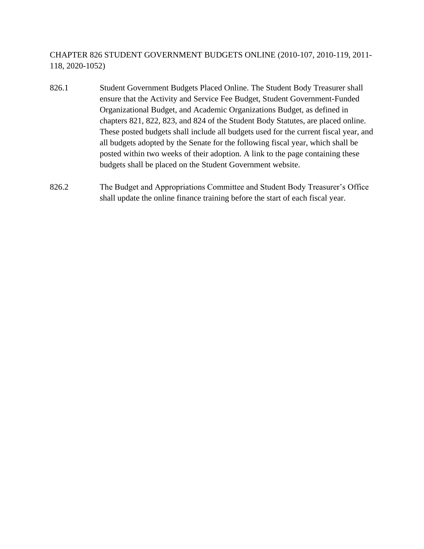CHAPTER 826 STUDENT GOVERNMENT BUDGETS ONLINE (2010-107, 2010-119, 2011- 118, 2020-1052)

- 826.1 Student Government Budgets Placed Online. The Student Body Treasurer shall ensure that the Activity and Service Fee Budget, Student Government-Funded Organizational Budget, and Academic Organizations Budget, as defined in chapters 821, 822, 823, and 824 of the Student Body Statutes, are placed online. These posted budgets shall include all budgets used for the current fiscal year, and all budgets adopted by the Senate for the following fiscal year, which shall be posted within two weeks of their adoption. A link to the page containing these budgets shall be placed on the Student Government website.
- 826.2 The Budget and Appropriations Committee and Student Body Treasurer's Office shall update the online finance training before the start of each fiscal year.